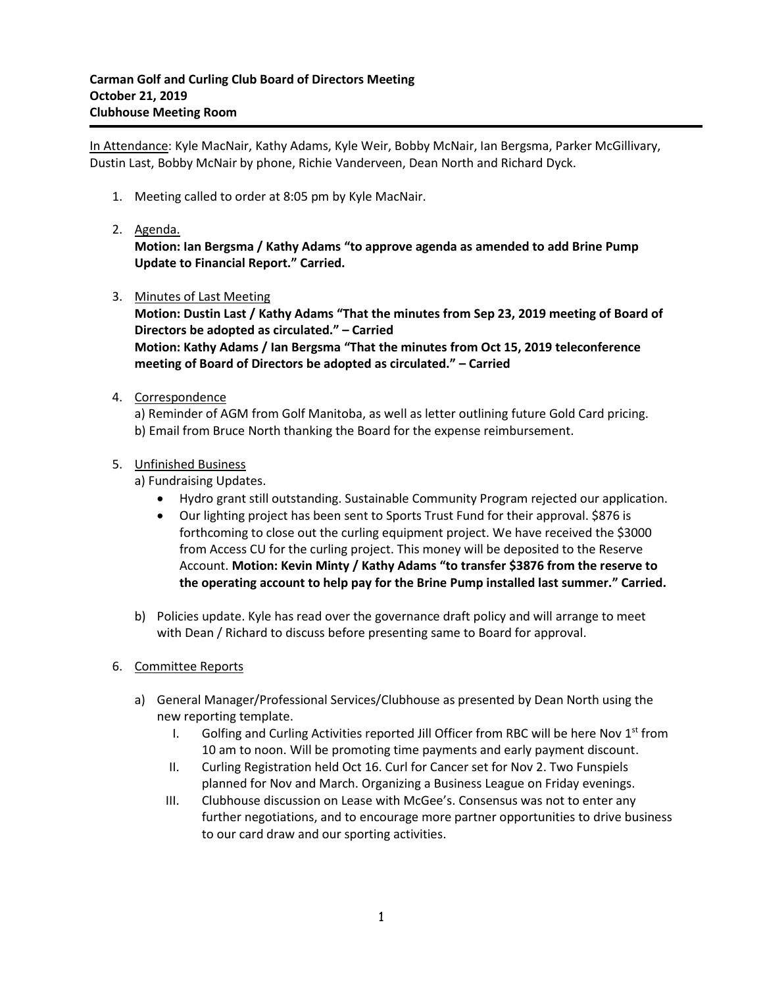In Attendance: Kyle MacNair, Kathy Adams, Kyle Weir, Bobby McNair, Ian Bergsma, Parker McGillivary, Dustin Last, Bobby McNair by phone, Richie Vanderveen, Dean North and Richard Dyck.

- 1. Meeting called to order at 8:05 pm by Kyle MacNair.
- 2. Agenda.

**Motion: Ian Bergsma / Kathy Adams "to approve agenda as amended to add Brine Pump Update to Financial Report." Carried.**

3. Minutes of Last Meeting

**Motion: Dustin Last / Kathy Adams "That the minutes from Sep 23, 2019 meeting of Board of Directors be adopted as circulated." – Carried Motion: Kathy Adams / Ian Bergsma "That the minutes from Oct 15, 2019 teleconference meeting of Board of Directors be adopted as circulated." – Carried**

4. Correspondence

a) Reminder of AGM from Golf Manitoba, as well as letter outlining future Gold Card pricing. b) Email from Bruce North thanking the Board for the expense reimbursement.

5. Unfinished Business

a) Fundraising Updates.

- Hydro grant still outstanding. Sustainable Community Program rejected our application.
- Our lighting project has been sent to Sports Trust Fund for their approval. \$876 is forthcoming to close out the curling equipment project. We have received the \$3000 from Access CU for the curling project. This money will be deposited to the Reserve Account. **Motion: Kevin Minty / Kathy Adams "to transfer \$3876 from the reserve to the operating account to help pay for the Brine Pump installed last summer." Carried.**
- b) Policies update. Kyle has read over the governance draft policy and will arrange to meet with Dean / Richard to discuss before presenting same to Board for approval.
- 6. Committee Reports
	- a) General Manager/Professional Services/Clubhouse as presented by Dean North using the new reporting template.
		- I. Golfing and Curling Activities reported Jill Officer from RBC will be here Nov  $1<sup>st</sup>$  from 10 am to noon. Will be promoting time payments and early payment discount.
		- II. Curling Registration held Oct 16. Curl for Cancer set for Nov 2. Two Funspiels planned for Nov and March. Organizing a Business League on Friday evenings.
		- III. Clubhouse discussion on Lease with McGee's. Consensus was not to enter any further negotiations, and to encourage more partner opportunities to drive business to our card draw and our sporting activities.